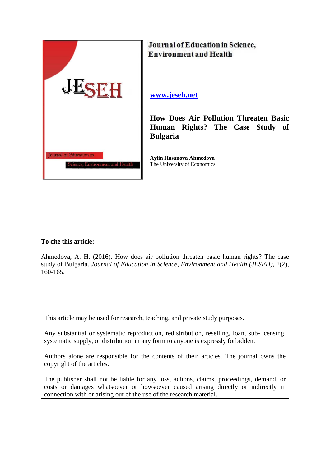

Journal of Education in Science, **Environment and Health** 

**[www.jeseh.net](http://www.jeseh.net/)**

**How Does Air Pollution Threaten Basic Human Rights? The Case Study of Bulgaria**

**Aylin Hasanova Ahmedova** The University of Economics

**To cite this article:** 

Ahmedova, A. H. (2016). How does air pollution threaten basic human rights? The case study of Bulgaria. *Journal of Education in Science, Environment and Health (JESEH), 2*(2), 160-165.

This article may be used for research, teaching, and private study purposes.

Any substantial or systematic reproduction, redistribution, reselling, loan, sub-licensing, systematic supply, or distribution in any form to anyone is expressly forbidden.

Authors alone are responsible for the contents of their articles. The journal owns the copyright of the articles.

The publisher shall not be liable for any loss, actions, claims, proceedings, demand, or costs or damages whatsoever or howsoever caused arising directly or indirectly in connection with or arising out of the use of the research material.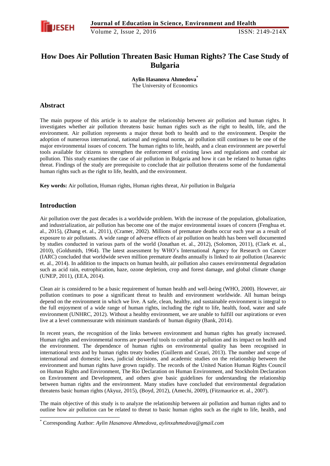

# **How Does Air Pollution Threaten Basic Human Rights? The Case Study of Bulgaria**

**Aylin Hasanova Ahmedova\*** The University of Economics

### **Abstract**

The main purpose of this article is to analyze the relationship between air pollution and human rights. It investigates whether air pollution threatens basic human rights such as the right to health, life, and the environment. Air pollution represents a major threat both to health and to the environment. Despite the adoption of numerous international, national and regional norms, air pollution still continues to be one of the major environmental issues of concern. The human rights to life, health, and a clean environment are powerful tools available for citizens to strengthen the enforcement of existing laws and regulations and combat air pollution. This study examines the case of air pollution in Bulgaria and how it can be related to human rights threat. Findings of the study are prerequisite to conclude that air pollution threatens some of the fundamental human rights such as the right to life, health, and the environment.

**Key words:** Air pollution, Human rights, Human rights threat, Air pollution in Bulgaria

### **Introduction**

-

Air pollution over the past decades is a worldwide problem. With the increase of the population, globalization, and industrialization, air pollution has become one of the major environmental issues of concern (Fenghua et. al., 2015), (Zhang et. al., 2011), (Cramer, 2002). Millions of premature deaths occur each year as a result of exposure to air pollutants. A wide range of adverse effects of air pollution on health has been well documented by studies conducted in various parts of the world (Jonathan et. al., 2012), (Solomon, 2011), (Clark et. al., 2010), (Goldsmith, 1964). The latest assessment by WHO"s International Agency for Research on Cancer (IARC) concluded that worldwide seven million premature deaths annually is linked to air pollution (Jasarevic et. al., 2014). In addition to the impacts on human health, air pollution also causes environmental degradation such as acid rain, eutrophication, haze, ozone depletion, crop and forest damage, and global climate change (UNEP, 2011), (EEA, 2014).

Clean air is considered to be a basic requirement of human health and well-being (WHO, 2000). However, air pollution continues to pose a significant threat to health and environment worldwide. All human beings depend on the environment in which we live. A safe, clean, healthy, and sustainable environment is integral to the full enjoyment of a wide range of human rights, including the right to life, health, food, water and safe environment (UNHRC, 2012). Without a healthy environment, we are unable to fulfill our aspirations or even live at a level commensurate with minimum standards of human dignity (Bank, 2014).

In recent years, the recognition of the links between environment and human rights has greatly increased. Human rights and environmental norms are powerful tools to combat air pollution and its impact on health and the environment. The dependence of human rights on environmental quality has been recognised in international texts and by human rights treaty bodies (Guillerm and Cezari, 2013). The number and scope of international and domestic laws, judicial decisions, and academic studies on the relationship between the environment and human rights have grown rapidly. The records of the United Nation Human Rights Council on Human Rights and Environment, The Rio Declaration on Human Environment, and Stockholm Declaration on Environment and Development, and others give basic guidelines for understanding the relationship between human rights and the environment. Many studies have concluded that environmental degradation threatens basic human rights (Akyuz, 2015), (Boyd, 2012), (Amechi, 2009), (Fitzmaurice et. al., 2007).

The main objective of this study is to analyze the relationship between air pollution and human rights and to outline how air pollution can be related to threat to basic human rights such as the right to life, health, and

<sup>\*</sup> Corresponding Author: *Aylin Hasanova Ahmedova, aylinxahmedova@gmail.com*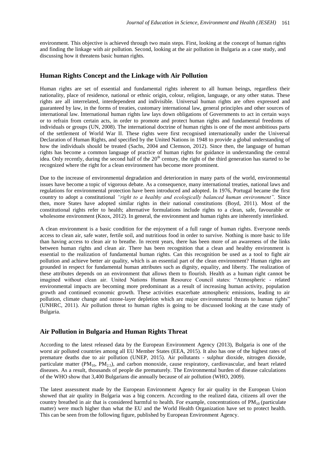environment. This objective is achieved through two main steps. First, looking at the concept of human rights and finding the linkage with air pollution. Second, looking at the air pollution in Bulgaria as a case study, and discussing how it threatens basic human rights.

### **Human Rights Concept and the Linkage with Air Pollution**

Human rights are set of essential and fundamental rights inherent to all human beings, regardless their nationality, place of residence, national or ethnic origin, colour, religion, language, or any other status. These rights are all interrelated, interdependent and indivisible. Universal human rights are often expressed and guaranteed by law, in the forms of treaties, customary international law, general principles and other sources of international law. International human rights law lays down obligations of Governments to act in certain ways or to refrain from certain acts, in order to promote and protect human rights and fundamental freedoms of individuals or groups (UN, 2008). The international doctrine of human rights is one of the most ambitious parts of the settlement of World War II. These rights were first recognised internationally under the Universal Declaration of Human Rights, and specified by the United Nations in 1948 to provide a global understanding of how the individuals should be treated (Sachs, 2004 and Clemson, 2012). Since then, the language of human rights has become a common language of practice of human rights for guidance in understanding the central idea. Only recently, during the second half of the 20<sup>th</sup> century, the right of the third generation has started to be recognized where the right for a clean environment has become more prominent.

Due to the increase of environmental degradation and deterioration in many parts of the world, environmental issues have become a topic of vigorous debate. As a consequence, many international treaties, national laws and regulations for environmental protection have been introduced and adopted. In 1976, Portugal became the first country to adopt a constitutional *"right to a healthy and ecologically balanced human environment".* Since then, more States have adopted similar rights in their national constitutions (Boyd, 2011). Most of the constitutional rights refer to health; alternative formulations include rights to a clean, safe, favourable or wholesome environment (Knox, 2012). In general, the environment and human rights are inherently interlinked.

A clean environment is a basic condition for the enjoyment of a full range of human rights. Everyone needs access to clean air, safe water, fertile soil, and nutritious food in order to survive. Nothing is more basic to life than having access to clean air to breathe. In recent years, there has been more of an awareness of the links between human rights and clean air. There has been recognition that a clean and healthy environment is essential to the realization of fundamental human rights. Can this recognition be used as a tool to fight air pollution and achieve better air quality, which is an essential part of the clean environment? Human rights are grounded in respect for fundamental human attributes such as dignity, equality, and liberty. The realization of these attributes depends on an environment that allows them to flourish. Health as a human right cannot be imagined without clean air. United Nations Human Resource Council states: "Atmospheric - related environmental impacts are becoming more predominant as a result of increasing human activity, population growth and continued economic growth. These activities exacerbate atmospheric emissions, leading to air pollution, climate change and ozone-layer depletion which are major environmental threats to human rights" (UNHRC, 2011). Air pollution threat to human rights is going to be discussed looking at the case study of Bulgaria.

### **Air Pollution in Bulgaria and Human Rights Threat**

According to the latest released data by the European Environment Agency (2013), Bulgaria is one of the worst air polluted countries among all EU Member States (EEA, 2015). It also has one of the highest rates of premature deaths due to air pollution (UNEP, 2015). Air pollutants - sulphur dioxide, nitrogen dioxide, particulate matter ( $PM_{10}$ ,  $PM_{2.5}$ ), and carbon monoxide, cause respiratory, cardiovascular, and heart related diseases. As a result, thousands of people die prematurely. The Environmental burden of disease calculations of the WHO show that 3,400 Bulgarians die annually because of air pollution (WHO, 2009).

The latest assessment made by the European Environment Agency for air quality in the European Union showed that air quality in Bulgaria was a big concern. According to the realized data, citizens all over the country breathed in air that is considered harmful to health. For example, concentrations of  $PM_{10}$  (particulate matter) were much higher than what the EU and the World Health Organization have set to protect health. This can be seen from the following figure, published by European Environment Agency.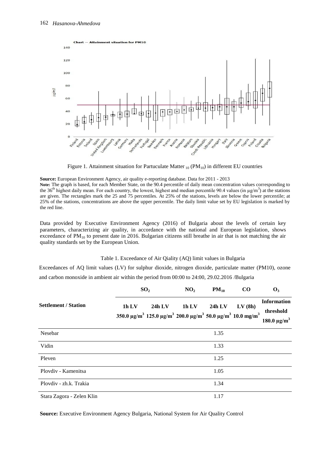

Figure 1. Attainment situation for Partuculate Matter  $_{10}$  (PM $_{10}$ ) in different EU countries

**Source:** European Environment Agency, air quality e-reporting database. Data for 2011 - 2013

Note: The graph is based, for each Member State, on the 90.4 percentile of daily mean concentration values corresponding to the 36<sup>th</sup> highest daily mean. For each country, the lowest, highest and median percentile 90.4 values (in  $\mu$ g/m<sup>3</sup>) at the stations are given. The rectangles mark the 25 and 75 percentiles. At 25% of the stations, levels are below the lower percentile; at 25% of the stations, concentrations are above the upper percentile. The daily limit value set by EU legislation is marked by the red line.

Data provided by Executive Environment Agency (2016) of Bulgaria about the levels of certain key parameters, characterizing air quality, in accordance with the national and European legislation, shows exceedance of  $PM_{10}$  to present date in 2016. Bulgarian citizens still breathe in air that is not matching the air quality standards set by the European Union.

### Table 1. Exceedance of Air Qiality (AQ) limit values in Bulgaria

Exceedances of AQ limit values (LV) for sulphur dioxide, nitrogen dioxide, particulate matter (PM10), ozone and carbon monoxide in ambient air within the period from 00:00 to 24:00, 29.02.2016 /Bulgaria

| <b>Settlement / Station</b> | SO <sub>2</sub> |          | NO <sub>2</sub>                                                                                                                                    | $PM_{10}$ | $\rm CO$ | $\mathbf{O}_3$                                                  |
|-----------------------------|-----------------|----------|----------------------------------------------------------------------------------------------------------------------------------------------------|-----------|----------|-----------------------------------------------------------------|
|                             | 1h LV           | $24h$ LV | 1h LV<br>350.0 $\mu$ g/m <sup>3</sup> 125.0 $\mu$ g/m <sup>3</sup> 200.0 $\mu$ g/m <sup>3</sup> 50.0 $\mu$ g/m <sup>3</sup> 10.0 mg/m <sup>3</sup> | $24h$ LV  | LV(8h)   | <b>Information</b><br>threshold<br>180.0 $\mu$ g/m <sup>3</sup> |
| Nesebar                     |                 |          |                                                                                                                                                    | 1.35      |          |                                                                 |
| Vidin                       |                 |          |                                                                                                                                                    | 1.33      |          |                                                                 |
| Pleven                      |                 |          |                                                                                                                                                    | 1.25      |          |                                                                 |
| Ploydiy - Kamenitsa         |                 |          |                                                                                                                                                    | 1.05      |          |                                                                 |
| Plovdiv - zh.k. Trakia      |                 |          |                                                                                                                                                    | 1.34      |          |                                                                 |
| Stara Zagora - Zelen Klin   |                 |          |                                                                                                                                                    | 1.17      |          |                                                                 |

**Source:** Executive Environment Agency Bulgaria, National System for Air Quality Control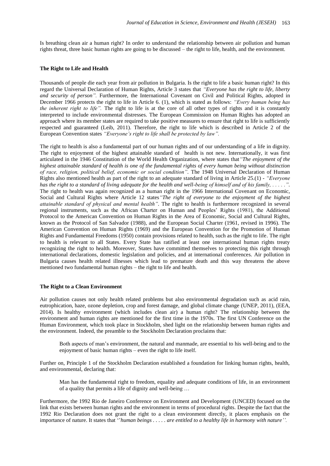Is breathing clean air a human right? In order to understand the relationship between air pollution and human rights threat, three basic human rights are going to be discussed – the right to life, health, and the environment.

### **The Right to Life and Health**

Thousands of people die each year from air pollution in Bulgaria. Is the right to life a basic human right? In this regard the Universal Declaration of Human Rights, Article 3 states that *"Everyone has the right to life, liberty and security of person".* Furthermore, the International Covenant on Civil and Political Rights, adopted in December 1966 protects the right to life in Article 6. (1), which is stated as follows: *"Every human being has the inherent right to life"*. The right to life is at the core of all other types of rights and it is constantly interpreted to include environmental distresses. The European Commission on Human Rights has adopted an approach where its member states are required to take positive measures to ensure that right to life is sufficiently respected and guaranteed (Leib, 2011). Therefore, the right to life which is described in Article 2 of the European Convention states *"Everyone's right to life shall be protected by law".*

The right to health is also a fundamental part of our human rights and of our understanding of a life in dignity. The right to enjoyment of the highest attainable standard of health is not new. Internationally, it was first articulated in the 1946 Constitution of the World Health Organization, where states that*"The enjoyment of the highest attainable standard of health is one of the fundamental rights of every human being without distinction of race, religion, political belief, economic or social condition".* The 1948 Universal Declaration of Human Rights also mentioned health as part of the right to an adequate standard of living in Article 25.(1) - *"Everyone has the right to a standard of living adequate for the health and well-being of himself and of his family, . . . . .".* The right to health was again recognized as a human right in the 1966 International Covenant on Economic, Social and Cultural Rights where Article 12 states*"The right of everyone to the enjoyment of the highest attainable standard of physical and mental health".* The right to health is furthermore recognized in several regional instruments, such as the African Charter on Human and Peoples" Rights (1981), the Additional Protocol to the American Convention on Human Rights in the Area of Economic, Social and Cultural Rights, known as the Protocol of San Salvador (1988), and the European Social Charter (1961, revised in 1996). The American Convention on Human Rights (1969) and the European Convention for the Promotion of Human Rights and Fundamental Freedoms (1950) contain provisions related to health, such as the right to life. The right to health is relevant to all States. Every State has ratified at least one international human rights treaty recognizing the right to health. Moreover, States have committed themselves to protecting this right through international declarations, domestic legislation and policies, and at international conferences. Air pollution in Bulgaria causes health related illnesses which lead to premature death and this way threatens the above mentioned two fundamental human rights – the right to life and health.

### **The Right to a Clean Environment**

Air pollution causes not only health related problems but also environmental degradation such as acid rain, eutrophication, haze, ozone depletion, crop and forest damage, and global climate change (UNEP, 2011), (EEA, 2014). Is healthy environment (which includes clean air) a human right? The relationship between the environment and human rights are mentioned for the first time in the 1970s. The first UN Conference on the Human Environment, which took place in Stockholm, shed light on the relationship between human rights and the environment. Indeed, the preamble to the Stockholm Declaration proclaims that:

Both aspects of man"s environment, the natural and manmade, are essential to his well-being and to the enjoyment of basic human rights – even the right to life itself.

Further on, Principle 1 of the Stockholm Declaration established a foundation for linking human rights, health, and environmental, declaring that:

Man has the fundamental right to freedom, equality and adequate conditions of life, in an environment of a quality that permits a life of dignity and well-being …

Furthermore, the 1992 Rio de Janeiro Conference on Environment and Development (UNCED) focused on the link that exists between human rights and the environment in terms of procedural rights. Despite the fact that the 1992 Rio Declaration does not grant the right to a clean environment directly, it places emphasis on the importance of nature. It states that ""*human beings . . . . . are entitled to a healthy life in harmony with nature''.*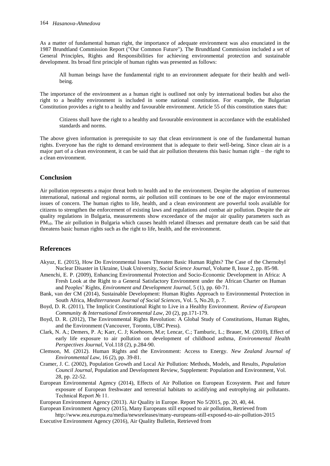As a matter of fundamental human right, the importance of adequate environment was also enunciated in the 1987 Brundtland Commission Report ("Our Common Future"). The Brundtland Commission included a set of General Principles, Rights and Responsibilities for achieving environmental protection and sustainable development. Its broad first principle of human rights was presented as follows:

All human beings have the fundamental right to an environment adequate for their health and wellbeing.

The importance of the environment as a human right is outlined not only by international bodies but also the right to a healthy environment is included in some national constitution. For example, the Bulgarian Constitution provides a right to a healthy and favourable environment. Article 55 of this constitution states that:

Citizens shall have the right to a healthy and favourable environment in accordance with the established standards and norms.

The above given information is prerequisite to say that clean environment is one of the fundamental human rights. Everyone has the right to demand environment that is adequate to their well-being. Since clean air is a major part of a clean environment, it can be said that air pollution threatens this basic human right – the right to a clean environment.

## **Conclusion**

Air pollution represents a major threat both to health and to the environment. Despite the adoption of numerous international, national and regional norms, air pollution still continues to be one of the major environmental issues of concern. The human rights to life, health, and a clean environment are powerful tools available for citizens to strengthen the enforcement of existing laws and regulations and combat air pollution. Despite the air quality regulations in Bulgaria, measurements show exceedance of the major air quality parameters such as PM10. The air pollution in Bulgaria which causes health related illnesses and premature death can be said that threatens basic human rights such as the right to life, health, and the environment.

# **References**

- Akyuz, E. (2015), How Do Environmental Issues Threaten Basic Human Rights? The Case of the Chernobyl Nuclear Disaster in Ukraine, Usak University, *Social Science Journal*, Volume 8, Issue 2, pp. 85-98.
- Amenchi, E. P. (2009), Enhancing Environmental Protection and Socio-Economic Development in Africa: A Fresh Look at the Right to a General Satisfactory Environment under the African Charter on Human and Peoples" Rights*, Environment and Development Journal,* 5 (1), pp. 60-71.
- Bank, van der CM (2014), Sustainable Development: Human Rights Approach to Environmental Protection in South Africa, *Mediterranean Journal of Social Sciences*, Vol. 5, No.20, p. 7.
- Boyd, D. R. (2011), The Implicit Constitutional Right to Live in a Healthy Environment. *Review of European Community & International Environmental Law*, 20 (2), pp.171-179.
- Boyd, D. R. (2012), The Environmental Rights Revolution: A Global Study of Constitutions, Human Rights, and the Environment (Vancouver, Toronto, UBC Press).
- Clark, N. A.; Demers, P. A; Karr, C. J; Koehoorn, M.e; Lencar, C.; Tamburic, L.; Brauer, M. (2010), Effect of early life exposure to air pollution on development of childhood asthma, *Environmental Health Perspectives Journal*, Vol.118 (2), p.284-90.
- Clemson, M. (2012). Human Rights and the Environment: Access to Energy. *New Zealand Journal of Environmental Law*, 16 (2), pp. 39-81.
- Cramer, J. C. (2002), Population Growth and Local Air Pollution: Methods, Models, and Results, *Population Council Journal*, Population and Development Review, Supplement: Population and Environment, Vol. 28, pp. 22-52.
- European Environmental Agency (2014), Effects of Air Pollution on European Ecosystem. Past and future exposure of European freshwater and terrestrial habitats to acidifying and eutrophying air pollutants. Technical Report № 11.

European Environment Agency (2013). Air Quality in Europe. Report No 5/2015, pp. 20, 40, 44.

- European Environment Agency (2015), Many Europeans still exposed to air pollution, Retrieved from <http://www.eea.europa.eu/media/newsreleases/many-europeans-still-exposed-to-air-pollution-2015>
- Executive Environment Agency (2016), Air Quality Bulletin, Retrieved from